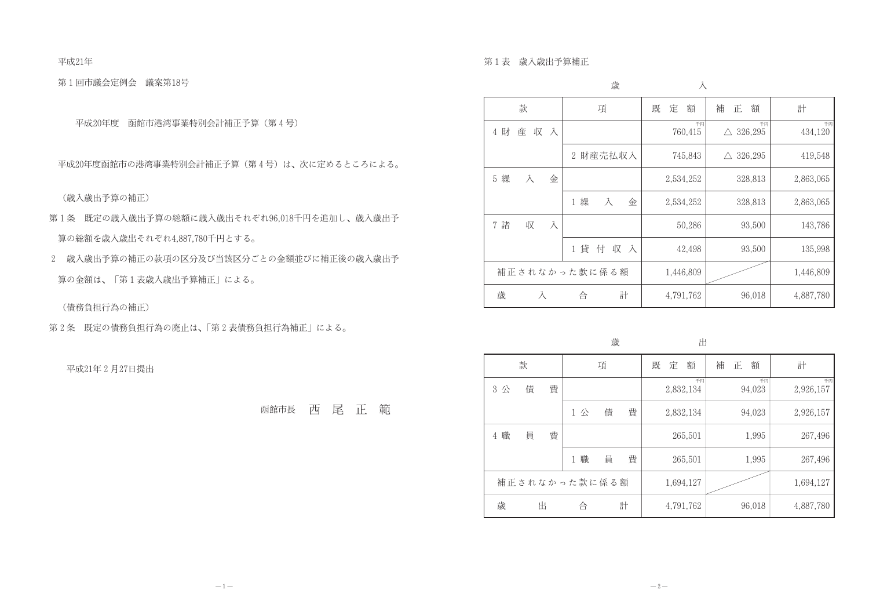平成21年

第1回市議会定例会 議案第18号

平成20年度 函館市港湾事業特別会計補正予算(第4号)

平成20年度函館市の港湾事業特別会計補正予算(第4号)は、次に定めるところによる。

(歳入歳出予算の補正)

- 第1条 既定の歳入歳出予算の総額に歳入歳出それぞれ96,018千円を追加し、歳入歳出予 算の総額を歳入歳出それぞれ4.887.780千円とする。
- 2 歳入歳出予算の補正の款項の区分及び当該区分ごとの金額並びに補正後の歳入歳出予 算の金額は、「第1表歳入歳出予算補正」による。

(債務負担行為の補正)

第2条 既定の債務負担行為の廃止は、「第2表債務負担行為補正」による。

平成21年2月27日提出

函館市長 西 尾 正 範

第1表 歲入歲出予算補正

|                                | 歳                     | 入             |                              |               |
|--------------------------------|-----------------------|---------------|------------------------------|---------------|
| 款                              | 項                     | 額<br>既<br>定   | 補<br>額<br>正                  | 計             |
| 財<br>収 入<br>産<br>4             |                       | 千円<br>760,415 | 千円<br>326,295<br>$\triangle$ | 千円<br>434,120 |
|                                | 2 財産売払収入              | 745,843       | 326,295<br>$\triangle$       | 419,548       |
| 繰<br>金<br>$5\overline{)}$<br>入 |                       | 2,534,252     | 328,813                      | 2,863,065     |
|                                | 1 繰<br>金<br>$\lambda$ | 2,534,252     | 328,813                      | 2,863,065     |
| 7 諸<br>収<br>入                  |                       | 50,286        | 93,500                       | 143,786       |
|                                | 1 貸 付 収<br>$\lambda$  | 42,498        | 93,500                       | 135,998       |
|                                | 補正されなかった款に係る額         | 1,446,809     |                              | 1,446,809     |
| 歳<br>入                         | 計<br>合                | 4,791,762     | 96,018                       | 4,887,780     |

歳

|        | 款 |   |               | 項 |   | 既 | 定 | 額               | 補 | 正 | 額            | 計               |
|--------|---|---|---------------|---|---|---|---|-----------------|---|---|--------------|-----------------|
| 3公     | 債 | 費 |               |   |   |   |   | 千円<br>2,832,134 |   |   | 千円<br>94,023 | 千円<br>2,926,157 |
|        |   |   | 1公            | 債 | 費 |   |   | 2,832,134       |   |   | 94,023       | 2,926,157       |
| 職<br>4 | 員 | 費 |               |   |   |   |   | 265,501         |   |   | 1,995        | 267,496         |
|        |   |   | 職<br>1        | 員 | 費 |   |   | 265,501         |   |   | 1,995        | 267,496         |
|        |   |   | 補正されなかった款に係る額 |   |   |   |   | 1,694,127       |   |   |              | 1,694,127       |
| 歳      | 出 |   | 合             |   | 計 |   |   | 4,791,762       |   |   | 96,018       | 4,887,780       |

|     | . . |
|-----|-----|
| 전 사 | ۰   |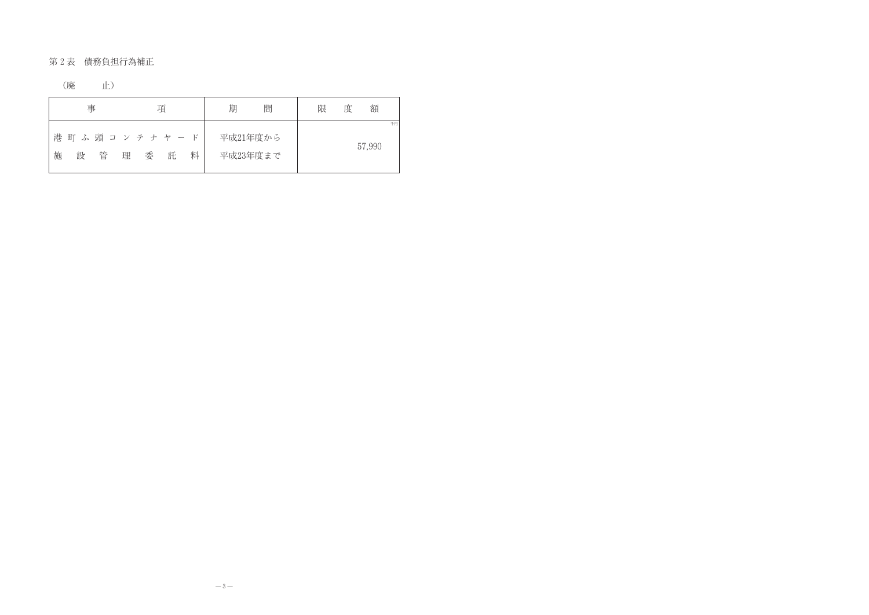第2表 債務負担行為補正

#### (廃 止)

| 事<br>項                                                 | 期<br>間               | 額<br>度<br>限  |
|--------------------------------------------------------|----------------------|--------------|
| 港<br>ふ頭コンテナヤード<br>町<br>設<br>施<br>管<br>料<br>委<br>託<br>理 | 平成21年度から<br>平成23年度まで | 千円<br>57,990 |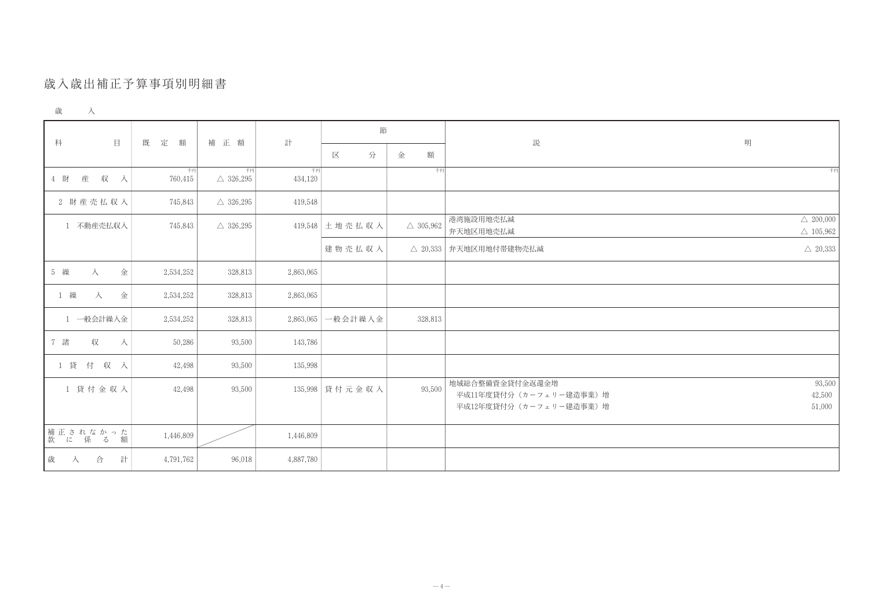# 歲入歲出補正予算事項別明細書

| 歳<br>$-8$ |
|-----------|
|-----------|

|     |                       |   |               |                           |               |         | 節 |   |                     |                                                                     |
|-----|-----------------------|---|---------------|---------------------------|---------------|---------|---|---|---------------------|---------------------------------------------------------------------|
| 科   | $\Box$                | 既 | 定<br>額        | 補 正 額                     | 計             | 区       | 分 | 金 | 額                   | 説                                                                   |
| 4 財 | 産 収<br>入              |   | 千円<br>760,415 | 千円<br>$\triangle$ 326,295 | 千円<br>434,120 |         |   |   | 千円                  |                                                                     |
|     | 2 財産売払収入              |   | 745,843       | $\triangle$ 326,295       | 419,548       |         |   |   |                     |                                                                     |
|     | 1 不動産売払収入             |   | 745,843       | $\triangle$ 326,295       | 419,548       | 土地壳払収入  |   |   | $\triangle$ 305,962 | 港湾施設用地壳払減<br>弁天地区用地壳払減                                              |
|     |                       |   |               |                           |               | 建物壳払収入  |   |   | $\triangle$ 20,333  | 弁天地区用地付帯建物売払減                                                       |
| 5 繰 | 入                     | 金 | 2,534,252     | 328,813                   | 2,863,065     |         |   |   |                     |                                                                     |
|     | 1 繰<br>入              | 金 | 2,534,252     | 328,813                   | 2,863,065     |         |   |   |                     |                                                                     |
|     | 1 一般会計繰入金             |   | 2,534,252     | 328,813                   | 2,863,065     | 一般会計繰入金 |   |   | 328,813             |                                                                     |
| 7 諸 | 収                     | 入 | 50,286        | 93,500                    | 143,786       |         |   |   |                     |                                                                     |
|     | 1 貸 付 収 入             |   | 42,498        | 93,500                    | 135,998       |         |   |   |                     |                                                                     |
|     | 1 貸付金収入               |   | 42,498        | 93,500                    | 135,998       | 貸付元金収入  |   |   | 93,500              | 地域総合整備資金貸付金返還金増<br>平成11年度貸付分(カーフェリー建造事業)増<br>平成12年度貸付分(カーフェリー建造事業)増 |
|     | 補正されなかった<br>款 に 係 る 額 |   | 1,446,809     |                           | 1,446,809     |         |   |   |                     |                                                                     |
| 歳   | 合<br>入                | 計 | 4,791,762     | 96,018                    | 4,887,780     |         |   |   |                     |                                                                     |

| 明                      |
|------------------------|
| 千円                     |
|                        |
|                        |
| $\triangle~200,\!000$  |
| 105,962<br>$\triangle$ |
| $\triangle~20,\!333$   |
|                        |
|                        |
|                        |
|                        |
|                        |
| 93,500                 |
| 42,500                 |
| 51,000                 |
|                        |
|                        |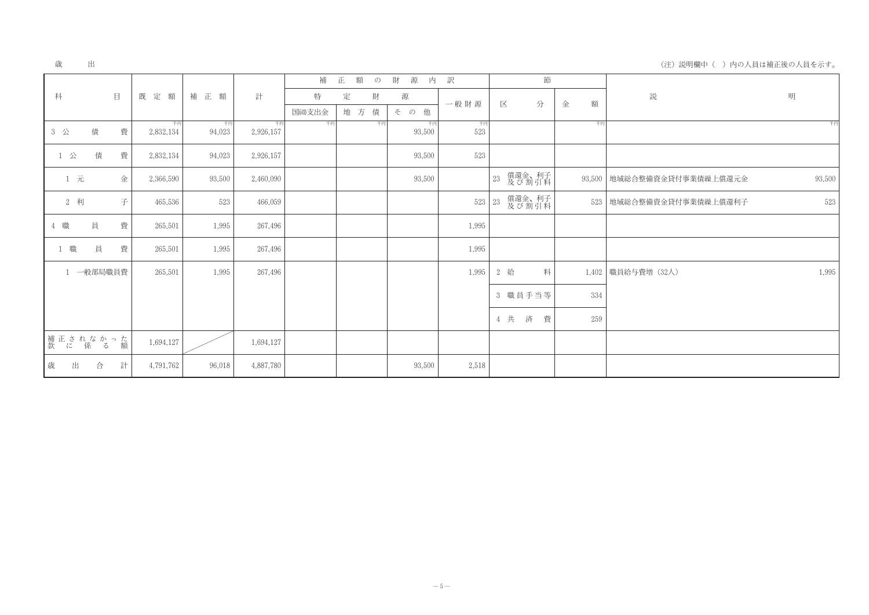#### 歲 出

|                       |           |   |                 |              |                 | 補     | 正 | 額   | $\oslash$ | 財  | 源      | 内  | 訳         |        |     | 節               |   |        |        |
|-----------------------|-----------|---|-----------------|--------------|-----------------|-------|---|-----|-----------|----|--------|----|-----------|--------|-----|-----------------|---|--------|--------|
| 科                     |           | 目 | 既<br>定<br>額     | 補 正 額        | 計               | 特     | 定 |     | 財         | 源  |        |    |           |        |     |                 | 金 | 額      | 説      |
|                       |           |   |                 |              |                 | 国遒支出金 |   | 地 方 | 債         | その |        | 他  | 一般財源      |        | 区   | 分               |   |        |        |
| 3 公                   | 債         | 費 | 千円<br>2,832,134 | 千円<br>94,023 | 千円<br>2,926,157 | 千円    |   |     | 千円        |    | 93,500 | 千円 | 千円<br>523 |        |     |                 |   | 千円     |        |
| 1 公                   | 債         | 費 | 2,832,134       | 94,023       | 2,926,157       |       |   |     |           |    | 93,500 |    | 523       |        |     |                 |   |        |        |
| $1$ 元                 |           | 金 | 2,366,590       | 93,500       | 2,460,090       |       |   |     |           |    | 93,500 |    |           | 23     |     | 償還金、利子<br>及び割引料 |   | 93,500 | 地域総合整備 |
| 2 利                   |           | 子 | 465,536         | 523          | 466,059         |       |   |     |           |    |        |    | 523       | $23\,$ |     | 償還金、利子<br>及び割引料 |   | 523    | 地域総合整備 |
| 4 職                   | 員         | 費 | 265,501         | 1,995        | 267,496         |       |   |     |           |    |        |    | 1,995     |        |     |                 |   |        |        |
| 1 職                   | 員         | 費 | 265,501         | 1,995        | 267,496         |       |   |     |           |    |        |    | 1,995     |        |     |                 |   |        |        |
|                       | 1 一般部局職員費 |   | 265,501         | 1,995        | 267,496         |       |   |     |           |    |        |    | 1,995     |        | 2 給 | 料               |   | 1,402  | 職員給与費増 |
|                       |           |   |                 |              |                 |       |   |     |           |    |        |    |           |        |     | 3 職員手当等         |   | 334    |        |
|                       |           |   |                 |              |                 |       |   |     |           |    |        |    |           |        | 4 共 | 済<br>費          |   | 259    |        |
| 補正されなかった<br>款 に 係 る 額 |           |   | 1,694,127       |              | 1,694,127       |       |   |     |           |    |        |    |           |        |     |                 |   |        |        |
| 歳<br>出                | 合         | 計 | 4,791,762       | 96,018       | 4,887,780       |       |   |     |           |    | 93,500 |    | 2,518     |        |     |                 |   |        |        |

明 千円 資金貸付事業債繰上償還元金 93,500 資金貸付事業債繰上償還利子 523

 $(32\lambda)$ 

1,995

(注) 説明欄中( ) 内の人員は補正後の人員を示す。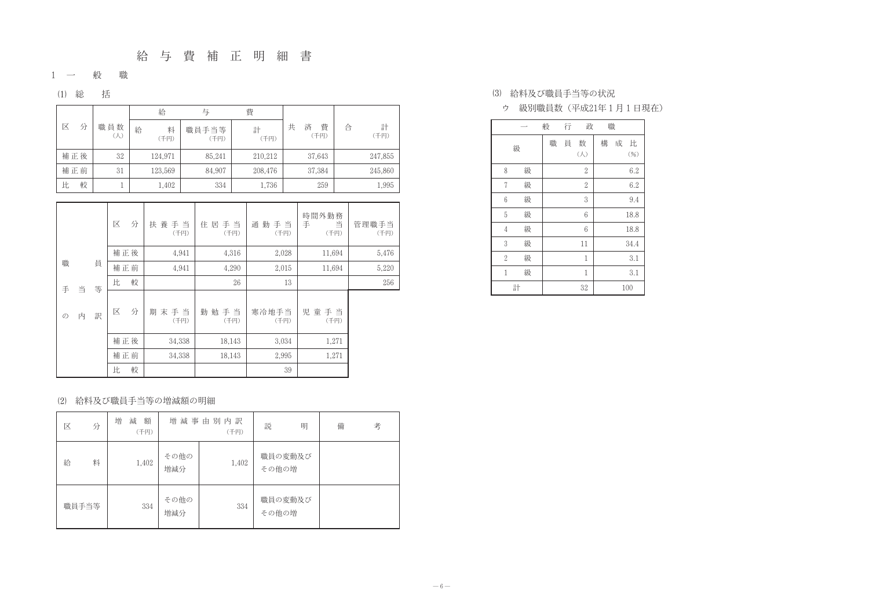## 給与費補正明細書

### $1$  一 般 職

(1) 総 括

|        |          | 給              | 与             | 費         |                     |                |
|--------|----------|----------------|---------------|-----------|---------------------|----------------|
| 区<br>分 | 職員数<br>W | 給<br>料<br>(千円) | 職員手当等<br>(千円) | 計<br>(千円) | 済<br>共<br>費<br>(千円) | 計<br>合<br>(千円) |
| 補正後    | 32       | 124,971        | 85,241        | 210,212   | 37,643              | 247,855        |
| 補正前    | 31       | 123,569        | 84,907        | 208,476   | 37,384              | 245,860        |
| 較<br>比 |          | 1,402          | 334           | 1,736     | 259                 | 1,995          |

|               |   |   | 区 | 分   | 養手当<br>扶<br>(千円) | 住<br>居<br>手当<br>(千円) | 勤手当<br>通<br>(千円) | 時間外勤務<br>当<br>手<br>(千円) | 管理職手当<br>(千円) |
|---------------|---|---|---|-----|------------------|----------------------|------------------|-------------------------|---------------|
|               |   |   |   | 補正後 | 4,941            | 4,316                | 2,028            | 11,694                  | 5,476         |
| 職             |   | 員 |   | 補正前 | 4,941            | 4,290                | 2,015            | 11,694                  | 5,220         |
| 手             | 当 | 等 | 比 | 較   |                  | 26                   | 13               |                         | 256           |
| $\mathcal{O}$ | 内 | 訳 | 区 | 分   | 末手当<br>期<br>(千円) | 勤<br>勉手当<br>(千円)     | 寒冷地手当<br>(千円)    | 児童手当<br>(千円)            |               |
|               |   |   |   | 補正後 | 34,338           | 18,143               | 3,034            | 1,271                   |               |
|               |   |   |   | 補正前 | 34,338           | 18,143               | 2,995            | 1,271                   |               |
|               |   |   | 比 | 較   |                  |                      | 39               |                         |               |

### (3) 給料及び職員手当等の状況

### ウ 級別職員数 (平成21年1月1日現在)

|                 |   | 般 | 行 | 政                  | 職 |   |             |
|-----------------|---|---|---|--------------------|---|---|-------------|
|                 | 級 | 職 | 員 | 数<br>$(\bigwedge)$ | 構 | 成 | 比<br>$(\%)$ |
| 8               | 級 |   |   | $\overline{2}$     |   |   | 6.2         |
| 7               | 級 |   |   | $\overline{2}$     |   |   | 6.2         |
| $6\phantom{.}6$ | 級 |   |   | 3                  |   |   | 9.4         |
| $\overline{5}$  | 級 |   |   | 6                  |   |   | 18.8        |
| $\overline{4}$  | 級 |   |   | $\boldsymbol{6}$   |   |   | 18.8        |
| 3               | 級 |   |   | 11                 |   |   | 34.4        |
| $\overline{2}$  | 級 |   |   | $\mathbf{1}$       |   |   | 3.1         |
| $\mathbf{1}$    | 級 |   |   | $\mathbf{1}$       |   |   | 3.1         |
|                 | 計 |   |   | 32                 |   |   | 100         |

## (2) 給料及び職員手当等の増減額の明細

| 区     | 分 | 増<br>減<br>額<br>(千円) |             | 增減事由別内訳<br>(千円) | 説     | 明       | 備 | 考 |
|-------|---|---------------------|-------------|-----------------|-------|---------|---|---|
| 給     | 料 | 1,402               | その他の<br>増減分 | 1,402           | その他の増 | 職員の変動及び |   |   |
| 職員手当等 |   | 334                 | その他の<br>増減分 | 334             | その他の増 | 職員の変動及び |   |   |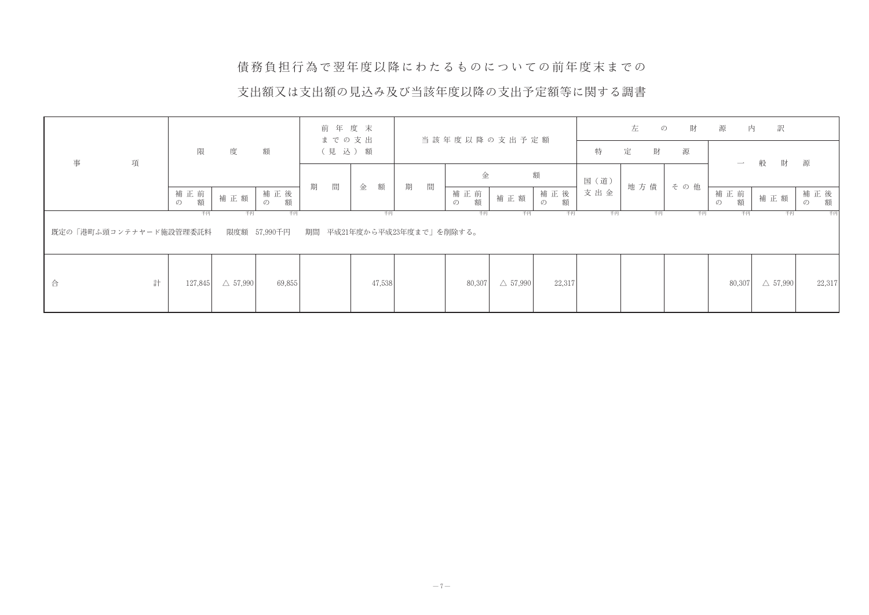債務負担行為で翌年度以降にわたるものについての前年度末までの

支出額又は支出額の見込み及び当該年度以降の支出予定額等に関する調書

|                                                                                                                                                       | 項 |                           |                    |                             | 前年度末<br>までの支出<br>(見込)額 |   |        | 当 該 年 度 以 降 の 支 出 予 定 額 |   |                             |                    |                             |      | 左   | 財<br>$\mathcal{D}$ | 源                         | 訳<br>内             |                 |
|-------------------------------------------------------------------------------------------------------------------------------------------------------|---|---------------------------|--------------------|-----------------------------|------------------------|---|--------|-------------------------|---|-----------------------------|--------------------|-----------------------------|------|-----|--------------------|---------------------------|--------------------|-----------------|
|                                                                                                                                                       |   | 限                         | 度                  | 額                           |                        |   |        |                         |   |                             | 特                  | 定<br>財                      | 源    |     |                    |                           |                    |                 |
| 事                                                                                                                                                     |   |                           |                    |                             |                        |   |        |                         | 間 | 金                           |                    | 額                           | 国(道) |     |                    | $\overline{\phantom{a}}$  | 般<br>財             | 源               |
|                                                                                                                                                       |   | 補正前<br>額<br>$\mathcal{D}$ | 補正額                | 補 正 後<br>額<br>$\mathcal{O}$ | 期                      | 間 | 額<br>金 | 期                       |   | 補 正 前<br>額<br>$\mathcal{O}$ | 補正額                | 補 正 後<br>額<br>$\mathcal{O}$ | 支出金  | 地方債 | その他                | 補正前<br>額<br>$\mathcal{O}$ | 補正額                | 補 正 後<br>の<br>額 |
| 千円<br>千円<br>千円<br>千円<br>千円<br>千円<br>千円<br>千円<br>千円<br>千円<br>千円<br>千円<br>千円<br>既定の「港町ふ頭コンテナヤード施設管理委託料<br>限度額 57,990千円<br>平成21年度から平成23年度まで」を削除する。<br>期間 |   |                           |                    |                             |                        |   |        |                         |   |                             |                    |                             |      |     |                    |                           |                    |                 |
| 合                                                                                                                                                     | 計 | 127,845                   | $\triangle$ 57,990 | 69,855                      |                        |   | 47,538 |                         |   | 80,307                      | $\triangle$ 57,990 | 22,317                      |      |     |                    | 80,307                    | $\triangle$ 57,990 | 22,317          |